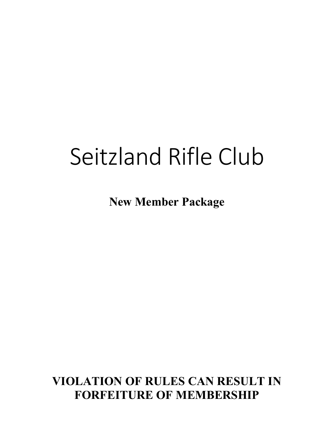# Seitzland Rifle Club

**New Member Package**

**VIOLATION OF RULES CAN RESULT IN FORFEITURE OF MEMBERSHIP**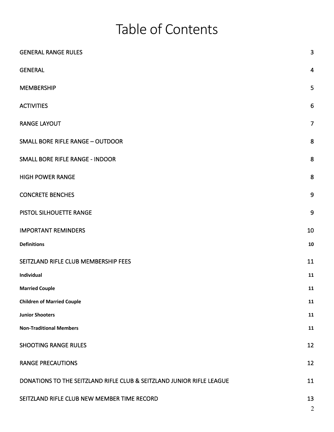# Table of Contents

| <b>GENERAL RANGE RULES</b>                                            | 3                       |
|-----------------------------------------------------------------------|-------------------------|
| <b>GENERAL</b>                                                        | $\overline{\mathbf{4}}$ |
| <b>MEMBERSHIP</b>                                                     | 5                       |
| <b>ACTIVITIES</b>                                                     | 6                       |
| <b>RANGE LAYOUT</b>                                                   | $\overline{7}$          |
| <b>SMALL BORE RIFLE RANGE - OUTDOOR</b>                               | 8                       |
| <b>SMALL BORE RIFLE RANGE - INDOOR</b>                                | $\bf 8$                 |
| <b>HIGH POWER RANGE</b>                                               | 8                       |
| <b>CONCRETE BENCHES</b>                                               | 9                       |
| PISTOL SILHOUETTE RANGE                                               | 9                       |
| <b>IMPORTANT REMINDERS</b>                                            | 10                      |
| <b>Definitions</b>                                                    | 10                      |
| SEITZLAND RIFLE CLUB MEMBERSHIP FEES                                  | 11                      |
| Individual                                                            | 11                      |
| <b>Married Couple</b>                                                 | 11                      |
| <b>Children of Married Couple</b>                                     | 11                      |
| <b>Junior Shooters</b>                                                | 11                      |
| <b>Non-Traditional Members</b>                                        | 11                      |
| <b>SHOOTING RANGE RULES</b>                                           | 12                      |
| <b>RANGE PRECAUTIONS</b>                                              | 12                      |
| DONATIONS TO THE SEITZLAND RIFLE CLUB & SEITZLAND JUNIOR RIFLE LEAGUE | 11                      |
| SEITZLAND RIFLE CLUB NEW MEMBER TIME RECORD                           | 13<br>$\overline{2}$    |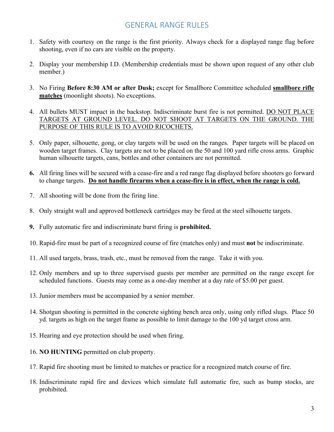# GENERAL RANGE RULES

- 1. Safety with courtesy on the range is the first priority. Always check for a displayed range flag before shooting, even if no cars are visible on the property.
- 2. Display your membership I.D. (Membership credentials must be shown upon request of any other club member.)
- 3. No Firing **Before 8:30 AM or after Dusk;** except for Smallbore Committee scheduled **smallbore rifle matches** (moonlight shoots). No exceptions.
- 4. All bullets MUST impact in the backstop. Indiscriminate burst fire is not permitted. DO NOT PLACE TARGETS AT GROUND LEVEL. DO NOT SHOOT AT TARGETS ON THE GROUND. THE PURPOSE OF THIS RULE IS TO AVOID RICOCHETS.
- 5. Only paper, silhouette, gong, or clay targets will be used on the ranges. Paper targets will be placed on wooden target frames. Clay targets are not to be placed on the 50 and 100 yard rifle cross arms. Graphic human silhouette targets, cans, bottles and other containers are not permitted.
- **6.** All firing lines will be secured with a cease-fire and a red range flag displayed before shooters go forward to change targets. **Do not handle firearms when a cease-fire is in effect, when the range is cold.**
- 7. All shooting will be done from the firing line.
- 8. Only straight wall and approved bottleneck cartridges may be fired at the steel silhouette targets.
- **9.** Fully automatic fire and indiscriminate burst firing is **prohibited.**
- 10. Rapid-fire must be part of a recognized course of fire (matches only) and must **not** be indiscriminate.
- 11. All used targets, brass, trash, etc., must be removed from the range. Take it with you.
- 12. Only members and up to three supervised guests per member are permitted on the range except for scheduled functions. Guests may come as a one-day member at a day rate of \$5.00 per guest.
- 13. Junior members must be accompanied by a senior member.
- 14. Shotgun shooting is permitted in the concrete sighting bench area only, using only rifled slugs. Place 50 yd. targets as high on the target frame as possible to limit damage to the 100 yd target cross arm.
- 15. Hearing and eye protection should be used when firing.
- 16. **NO HUNTING** permitted on club property.
- 17. Rapid fire shooting must be limited to matches or practice for a recognized match course of fire.
- 18. Indiscriminate rapid fire and devices which simulate full automatic fire, such as bump stocks, are prohibited.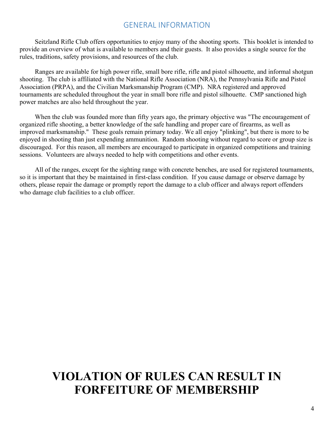#### GENERAL INFORMATION

Seitzland Rifle Club offers opportunities to enjoy many of the shooting sports. This booklet is intended to provide an overview of what is available to members and their guests. It also provides a single source for the rules, traditions, safety provisions, and resources of the club.

Ranges are available for high power rifle, small bore rifle, rifle and pistol silhouette, and informal shotgun shooting. The club is affiliated with the National Rifle Association (NRA), the Pennsylvania Rifle and Pistol Association (PRPA), and the Civilian Marksmanship Program (CMP). NRA registered and approved tournaments are scheduled throughout the year in small bore rifle and pistol silhouette. CMP sanctioned high power matches are also held throughout the year.

When the club was founded more than fifty years ago, the primary objective was "The encouragement of organized rifle shooting, a better knowledge of the safe handling and proper care of firearms, as well as improved marksmanship." These goals remain primary today. We all enjoy "plinking", but there is more to be enjoyed in shooting than just expending ammunition. Random shooting without regard to score or group size is discouraged. For this reason, all members are encouraged to participate in organized competitions and training sessions. Volunteers are always needed to help with competitions and other events.

All of the ranges, except for the sighting range with concrete benches, are used for registered tournaments, so it is important that they be maintained in first-class condition. If you cause damage or observe damage by others, please repair the damage or promptly report the damage to a club officer and always report offenders who damage club facilities to a club officer.

# **VIOLATION OF RULES CAN RESULT IN FORFEITURE OF MEMBERSHIP**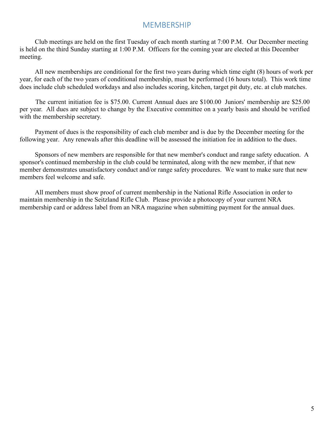### MEMBERSHIP

Club meetings are held on the first Tuesday of each month starting at 7:00 P.M. Our December meeting is held on the third Sunday starting at 1:00 P.M. Officers for the coming year are elected at this December meeting.

All new memberships are conditional for the first two years during which time eight (8) hours of work per year, for each of the two years of conditional membership, must be performed (16 hours total). This work time does include club scheduled workdays and also includes scoring, kitchen, target pit duty, etc. at club matches.

The current initiation fee is \$75.00. Current Annual dues are \$100.00 Juniors' membership are \$25.00 per year. All dues are subject to change by the Executive committee on a yearly basis and should be verified with the membership secretary.

Payment of dues is the responsibility of each club member and is due by the December meeting for the following year. Any renewals after this deadline will be assessed the initiation fee in addition to the dues.

Sponsors of new members are responsible for that new member's conduct and range safety education. A sponsor's continued membership in the club could be terminated, along with the new member, if that new member demonstrates unsatisfactory conduct and/or range safety procedures. We want to make sure that new members feel welcome and safe.

All members must show proof of current membership in the National Rifle Association in order to maintain membership in the Seitzland Rifle Club. Please provide a photocopy of your current NRA membership card or address label from an NRA magazine when submitting payment for the annual dues.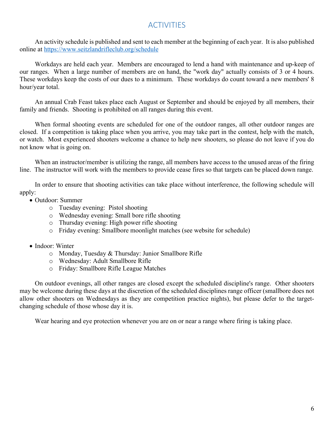# **ACTIVITIES**

An activity schedule is published and sent to each member at the beginning of each year. It is also published online at https://www.seitzlandrifleclub.org/schedule

Workdays are held each year. Members are encouraged to lend a hand with maintenance and up-keep of our ranges. When a large number of members are on hand, the "work day" actually consists of 3 or 4 hours. These workdays keep the costs of our dues to a minimum. These workdays do count toward a new members' 8 hour/year total.

An annual Crab Feast takes place each August or September and should be enjoyed by all members, their family and friends. Shooting is prohibited on all ranges during this event.

When formal shooting events are scheduled for one of the outdoor ranges, all other outdoor ranges are closed. If a competition is taking place when you arrive, you may take part in the contest, help with the match, or watch. Most experienced shooters welcome a chance to help new shooters, so please do not leave if you do not know what is going on.

When an instructor/member is utilizing the range, all members have access to the unused areas of the firing line. The instructor will work with the members to provide cease fires so that targets can be placed down range.

In order to ensure that shooting activities can take place without interference, the following schedule will apply:

- Outdoor: Summer
	- o Tuesday evening: Pistol shooting
	- o Wednesday evening: Small bore rifle shooting
	- o Thursday evening: High power rifle shooting
	- o Friday evening: Smallbore moonlight matches (see website for schedule)
- Indoor: Winter
	- o Monday, Tuesday & Thursday: Junior Smallbore Rifle
	- o Wednesday: Adult Smallbore Rifle
	- o Friday: Smallbore Rifle League Matches

On outdoor evenings, all other ranges are closed except the scheduled discipline's range. Other shooters may be welcome during these days at the discretion of the scheduled disciplines range officer (smallbore does not allow other shooters on Wednesdays as they are competition practice nights), but please defer to the targetchanging schedule of those whose day it is.

Wear hearing and eye protection whenever you are on or near a range where firing is taking place.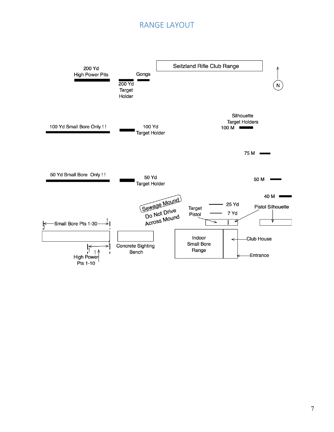# RANGE LAYOUT

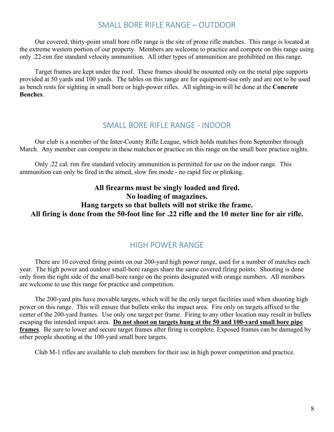### SMALL BORE RIFLE RANGE – OUTDOOR

Our covered, thirty-point small bore rifle range is the site of prone rifle matches. This range is located at the extreme western portion of our property. Members are welcome to practice and compete on this range using only .22-rim fire standard velocity ammunition. All other types of ammunition are prohibited on this range.

Target frames are kept under the roof. These frames should be mounted only on the metal pipe supports provided at 50 yards and 100 yards. The tables on this range are for equipment-use only and are not to be used as bench rests for sighting in small bore or high-power rifles. All sighting-in will be done at the **Concrete Benches**.

#### SMALL BORE RIFLE RANGE - INDOOR

Our club is a member of the Inter-County Rifle League, which holds matches from September through March. Any member can compete in these matches or practice on this range on the small bore practice nights.

Only .22 cal. rim fire standard velocity ammunition is permitted for use on the indoor range. This ammunition can only be fired in the aimed, slow fire mode - no rapid fire or plinking.

#### **All firearms must be singly loaded and fired. No loading of magazines. Hang targets so that bullets will not strike the frame. All firing is done from the 50-foot line for .22 rifle and the 10 meter line for air rifle.**

#### HIGH POWER RANGE

There are 10 covered firing points on our 200-yard high power range, used for a number of matches each year. The high power and outdoor small-bore ranges share the same covered firing points. Shooting is done only from the right side of the small-bore range on the points designated with orange numbers. All members are welcome to use this range for practice and competition.

The 200-yard pits have movable targets, which will be the only target facilities used when shooting high power on this range. This will ensure that bullets strike the impact area. Fire only on targets affixed to the center of the 200-yard frames. Use only one target per frame. Firing to any other location may result in bullets escaping the intended impact area. **Do not shoot on targets hung at the 50 and 100-yard small bore pipe frames**. Be sure to lower and secure target frames after firing is complete. Exposed frames can be damaged by other people shooting at the 100-yard small bore targets.

Club M-1 rifles are available to club members for their use in high power competition and practice.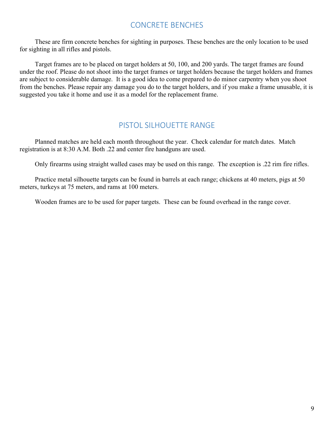# CONCRETE BENCHES

These are firm concrete benches for sighting in purposes. These benches are the only location to be used for sighting in all rifles and pistols.

Target frames are to be placed on target holders at 50, 100, and 200 yards. The target frames are found under the roof. Please do not shoot into the target frames or target holders because the target holders and frames are subject to considerable damage. It is a good idea to come prepared to do minor carpentry when you shoot from the benches. Please repair any damage you do to the target holders, and if you make a frame unusable, it is suggested you take it home and use it as a model for the replacement frame.

### PISTOL SILHOUETTE RANGE

Planned matches are held each month throughout the year. Check calendar for match dates. Match registration is at 8:30 A.M. Both .22 and center fire handguns are used.

Only firearms using straight walled cases may be used on this range. The exception is .22 rim fire rifles.

Practice metal silhouette targets can be found in barrels at each range; chickens at 40 meters, pigs at 50 meters, turkeys at 75 meters, and rams at 100 meters.

Wooden frames are to be used for paper targets. These can be found overhead in the range cover.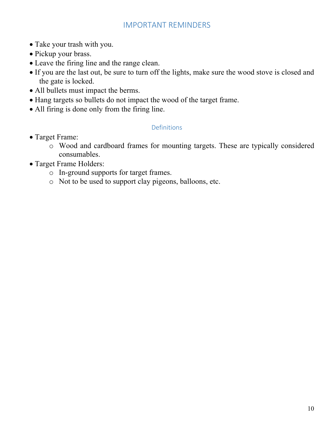# IMPORTANT REMINDERS

- Take your trash with you.
- Pickup your brass.
- Leave the firing line and the range clean.
- If you are the last out, be sure to turn off the lights, make sure the wood stove is closed and the gate is locked.
- All bullets must impact the berms.
- Hang targets so bullets do not impact the wood of the target frame.
- All firing is done only from the firing line.

### Definitions

- Target Frame:
	- o Wood and cardboard frames for mounting targets. These are typically considered consumables.
- Target Frame Holders:
	- o In-ground supports for target frames.
	- o Not to be used to support clay pigeons, balloons, etc.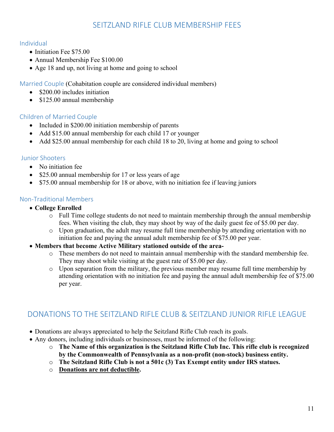# SEITZLAND RIFLE CLUB MEMBERSHIP FFES

#### Individual

- Initiation Fee \$75.00
- Annual Membership Fee \$100.00
- Age 18 and up, not living at home and going to school

Married Couple (Cohabitation couple are considered individual members)

- \$200.00 includes initiation
- \$125.00 annual membership

#### Children of Married Couple

- Included in \$200.00 initiation membership of parents
- Add \$15.00 annual membership for each child 17 or younger
- Add \$25.00 annual membership for each child 18 to 20, living at home and going to school

#### Junior Shooters

- No initiation fee
- \$25.00 annual membership for 17 or less years of age
- \$75.00 annual membership for 18 or above, with no initiation fee if leaving juniors

#### Non-Traditional Members

- **College Enrolled**
	- o Full Time college students do not need to maintain membership through the annual membership fees. When visiting the club, they may shoot by way of the daily guest fee of \$5.00 per day.
	- o Upon graduation, the adult may resume full time membership by attending orientation with no initiation fee and paying the annual adult membership fee of \$75.00 per year.
- **Members that become Active Military stationed outside of the area**
	- o These members do not need to maintain annual membership with the standard membership fee. They may shoot while visiting at the guest rate of \$5.00 per day.
	- o Upon separation from the military, the previous member may resume full time membership by attending orientation with no initiation fee and paying the annual adult membership fee of \$75.00 per year.

# DONATIONS TO THE SEITZLAND RIFLE CLUB & SEITZLAND JUNIOR RIFLE LEAGUE

- Donations are always appreciated to help the Seitzland Rifle Club reach its goals.
- Any donors, including individuals or businesses, must be informed of the following:
	- o **The Name of this organization is the Seitzland Rifle Club Inc. This rifle club is recognized by the Commonwealth of Pennsylvania as a non-profit (non-stock) business entity.**
	- o **The Seitzland Rifle Club is not a 501c (3) Tax Exempt entity under IRS statues.**
	- o **Donations are not deductible.**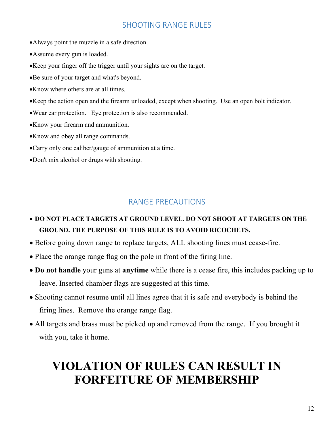# SHOOTING RANGE RUI FS

- •Always point the muzzle in a safe direction.
- •Assume every gun is loaded.
- •Keep your finger off the trigger until your sights are on the target.
- •Be sure of your target and what's beyond.
- •Know where others are at all times.
- •Keep the action open and the firearm unloaded, except when shooting. Use an open bolt indicator.
- •Wear ear protection. Eye protection is also recommended.
- •Know your firearm and ammunition.
- •Know and obey all range commands.
- •Carry only one caliber/gauge of ammunition at a time.
- •Don't mix alcohol or drugs with shooting.

### RANGE PRECAUTIONS

- **DO NOT PLACE TARGETS AT GROUND LEVEL. DO NOT SHOOT AT TARGETS ON THE GROUND. THE PURPOSE OF THIS RULE IS TO AVOID RICOCHETS.**
- Before going down range to replace targets, ALL shooting lines must cease-fire.
- Place the orange range flag on the pole in front of the firing line.
- **Do not handle** your guns at **anytime** while there is a cease fire, this includes packing up to leave. Inserted chamber flags are suggested at this time.
- Shooting cannot resume until all lines agree that it is safe and everybody is behind the firing lines. Remove the orange range flag.
- All targets and brass must be picked up and removed from the range. If you brought it with you, take it home.

# **VIOLATION OF RULES CAN RESULT IN FORFEITURE OF MEMBERSHIP**